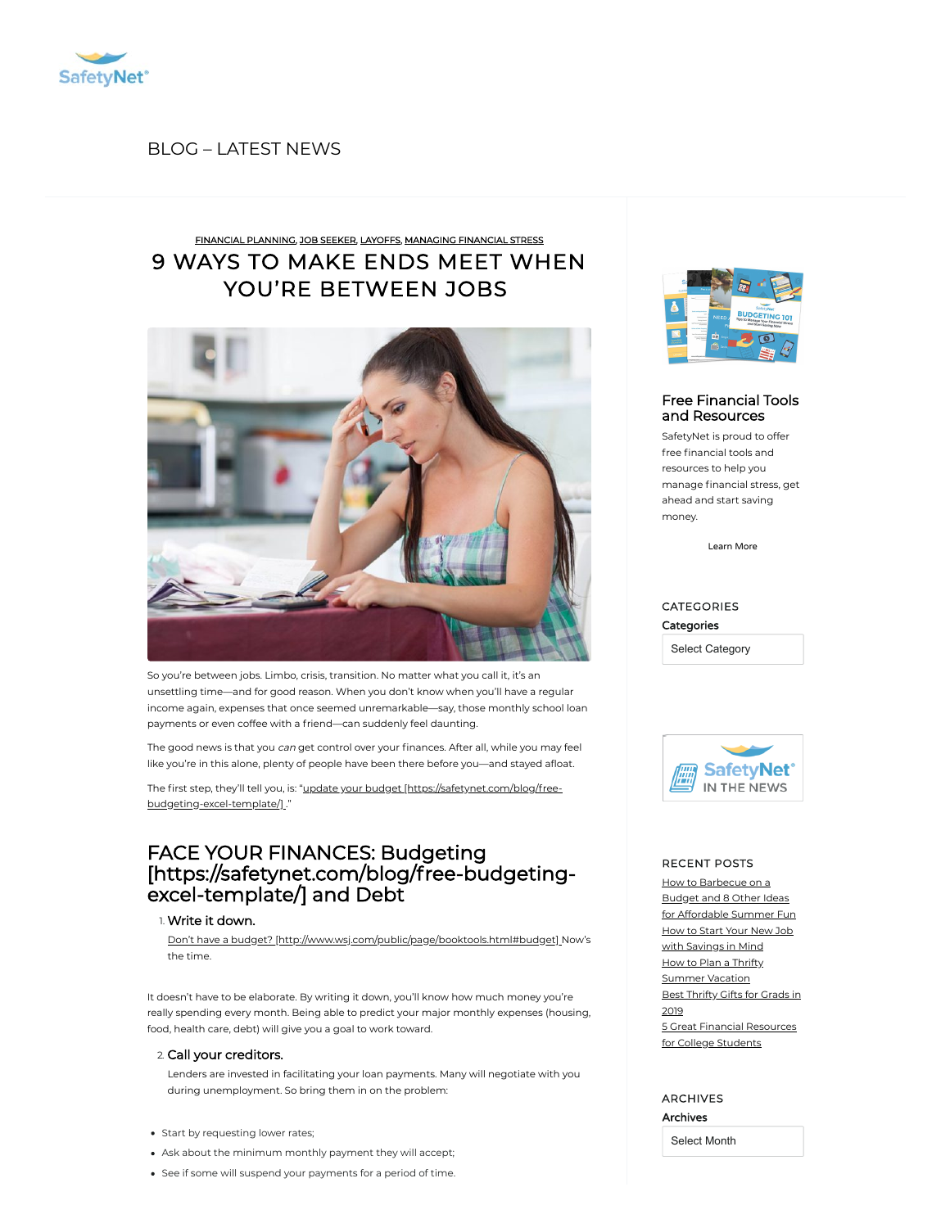

## BLOG [– LATEST](https://safetynet.com/blog/all-posts/) NEWS

# 9 WAYS TO MAKE ENDS MEET WHEN YOU'RE [BETWEEN](https://safetynet.com/blog/9-ways-make-ends-meet-youre-jobs/) JOBS FINANCIAL [PLANNING,](https://safetynet.com/blog/category/financial-planning/) JOB [SEEKER](https://safetynet.com/blog/category/tips-advice/job-seeker/), [LAYOFFS](https://safetynet.com/blog/category/tips-advice/layoffs/), [MANAGING](https://safetynet.com/blog/category/financial-planning/managing-financial-stress/) FINANCIAL STRESS



So you're between jobs. Limbo, crisis, transition. No matter what you call it, it's an unsettling time—and for good reason. When you don't know when you'll have a regular income again, expenses that once seemed unremarkable—say, those monthly school loan payments or even coffee with a friend—can suddenly feel daunting.

The good news is that you can get control over your finances. After all, while you may feel like you're in this alone, plenty of people have been there before you—and stayed afloat.

The first step, they'll tell you, is: "update your budget [\[https://safetynet.com/blog/free](https://safetynet.com/blog/free-budgeting-excel-template/)budgeting-excel-template/] ."

# FACE YOUR FINANCES: Budgeting [\[https://safetynet.com/blog/free-budgeting](https://safetynet.com/blog/free-budgeting-excel-template/)excel-template/] and Debt

### 1. Write it down.

Don't have a budget? [\[http://www.wsj.com/public/page/booktools.html#budget\]](http://www.wsj.com/public/page/booktools.html#budget) Now's the time.

It doesn't have to be elaborate. By writing it down, you'll know how much money you're really spending every month. Being able to predict your major monthly expenses (housing, food, health care, debt) will give you a goal to work toward.

## 2. Call your creditors.

Lenders are invested in facilitating your loan payments. Many will negotiate with you during unemployment. So bring them in on the problem:

- Start by requesting lower rates;
- Ask about the minimum monthly payment they will accept;
- See if some will suspend your payments for a period of time.



## Free Financial Tools and [Resources](https://safetynet.com/blog/resources/)

SafetyNet is proud to offer free financial tools and resources to help you manage financial stress, get ahead and start saving money.

[Learn](https://safetynet.com/blog/resources/) More

## CATEGORIES **Categories** Select Category



IN THE NEWS

### RECENT POSTS

How [to Barbecue](https://safetynet.com/blog/how-to-barbecue-on-a-budget-and-8-other-ideas-for-affordable-summer-fun/) on a Budget and 8 Other Ideas for Affordable Summer Fun How to Start Your New Job with [Savings](https://safetynet.com/blog/start-your-new-job-with-savings-in-mind/) in Mind How to Plan a Thrifty [Summer](https://safetynet.com/blog/how-to-plan-a-thrifty-summer-vacation/) Vacation Best [Thrifty](https://safetynet.com/blog/best-thrifty-gifts-for-grads-in-2019/) Gifts for Grads in 2019

5 Great Financial [Resources](https://safetynet.com/blog/5-great-financial-resources-for-college-students/) for College Students

## ARCHIVES Archives

Select Month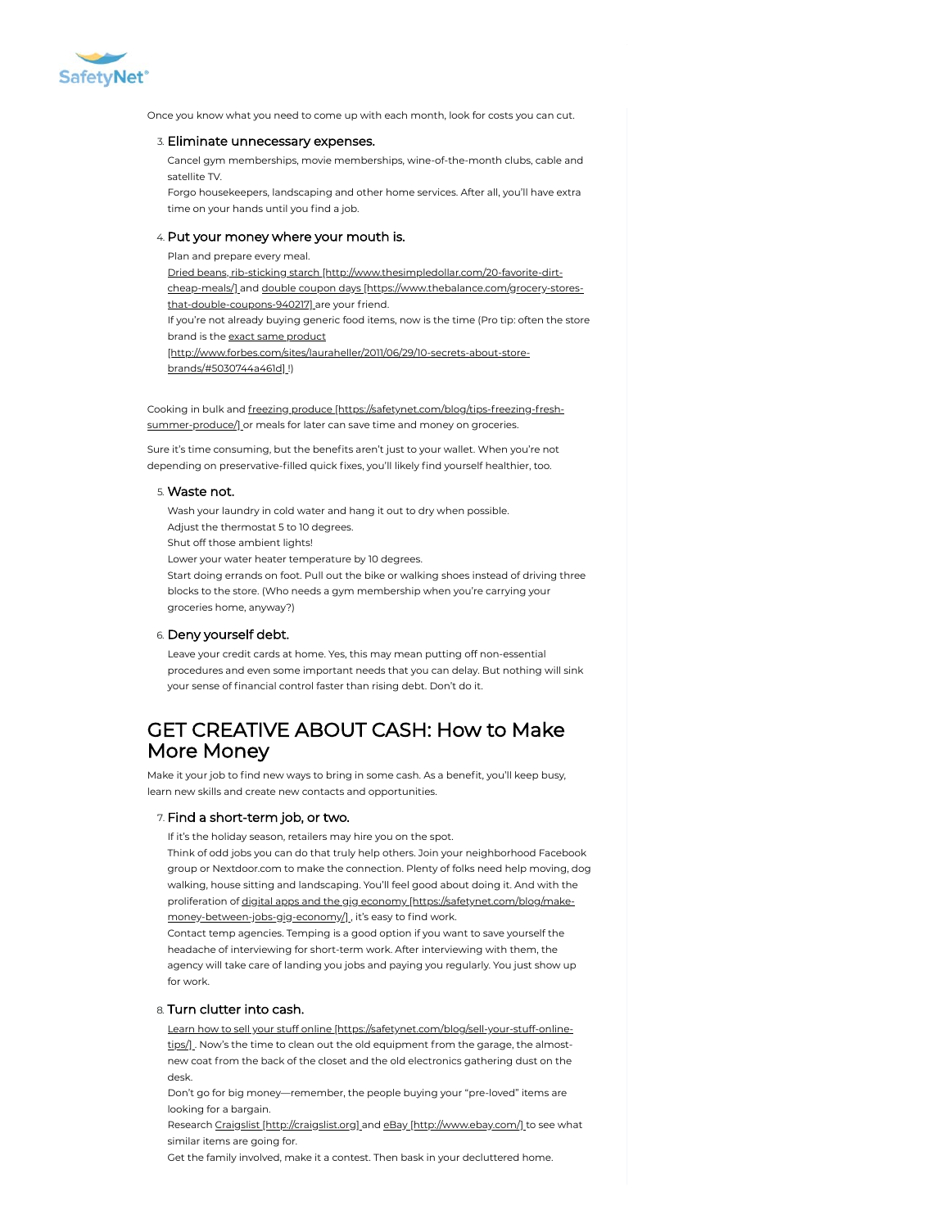

Once you know what you need to come up with each month, look for costs you can cut.

#### 3. Eliminate unnecessary expenses.

Cancel gym memberships, movie memberships, wine-of-the-month clubs, cable and satellite TV.

Forgo housekeepers, landscaping and other home services. After all, you'll have extra time on your hands until you find a job.

### 4. Put your money where your mouth is.

Plan and prepare every meal. Dried beans, rib-sticking starch [\[http://www.thesimpledollar.com/20-favorite-dirt](http://www.thesimpledollar.com/20-favorite-dirt-cheap-meals/)cheap-meals/] and double coupon days [\[https://www.thebalance.com/grocery-stores](https://www.thebalance.com/grocery-stores-that-double-coupons-940217)that-double-coupons-940217] are your friend. If you're not already buying generic food items, now is the time (Pro tip: often the store brand is the exact same product [\[http://www.forbes.com/sites/lauraheller/2011/06/29/10-secrets-about-store](http://www.forbes.com/sites/lauraheller/2011/06/29/10-secrets-about-store-brands/#5030744a461d)brands/#5030744a461d] !)

Cooking in bulk and freezing produce [\[https://safetynet.com/blog/tips-freezing-fresh](https://safetynet.com/blog/tips-freezing-fresh-summer-produce/)summer-produce/] or meals for later can save time and money on groceries.

Sure it's time consuming, but the benefits aren't just to your wallet. When you're not depending on preservative-filled quick fixes, you'll likely find yourself healthier, too.

#### 5. Waste not.

Wash your laundry in cold water and hang it out to dry when possible. Adjust the thermostat 5 to 10 degrees. Shut off those ambient lights! Lower your water heater temperature by 10 degrees. Start doing errands on foot. Pull out the bike or walking shoes instead of driving three blocks to the store. (Who needs a gym membership when you're carrying your groceries home, anyway?)

#### 6. Deny yourself debt.

Leave your credit cards at home. Yes, this may mean putting off non-essential procedures and even some important needs that you can delay. But nothing will sink your sense of financial control faster than rising debt. Don't do it.

# GET CREATIVE ABOUT CASH: How to Make More Money

Make it your job to find new ways to bring in some cash. As a benefit, you'll keep busy, learn new skills and create new contacts and opportunities.

### 7. Find a short-term job, or two.

If it's the holiday season, retailers may hire you on the spot.

Think of odd jobs you can do that truly help others. Join your neighborhood Facebook group or Nextdoor.com to make the connection. Plenty of folks need help moving, dog walking, house sitting and landscaping. You'll feel good about doing it. And with the proliferation of digital apps and the gig economy [https://safetynet.com/blog/make[money-between-jobs-gig-economy/\]](https://safetynet.com/blog/make-money-between-jobs-gig-economy/), it's easy to find work.

Contact temp agencies. Temping is a good option if you want to save yourself the headache of interviewing for short-term work. After interviewing with them, the agency will take care of landing you jobs and paying you regularly. You just show up for work.

#### 8. Turn clutter into cash.

Learn how to sell your stuff online [\[https://safetynet.com/blog/sell-your-stuff-online](https://safetynet.com/blog/sell-your-stuff-online-tips/)tips/] . Now's the time to clean out the old equipment from the garage, the almostnew coat from the back of the closet and the old electronics gathering dust on the desk.

Don't go for big money—remember, the people buying your "pre-loved" items are looking for a bargain.

Research Craigslist [\[http://craigslist.org\]](http://craigslist.org/) and eBay [\[http://www.ebay.com/\]](http://www.ebay.com/) to see what similar items are going for.

Get the family involved, make it a contest. Then bask in your decluttered home.